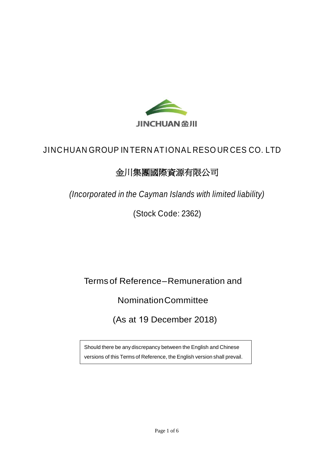

# JINCHUAN GROUP IN TERN ATIONAL RESO UR CES CO. LTD

# 金川集團國際資源有限公司

*(Incorporated in the Cayman Islands with limited liability)*

(Stock Code: 2362)

Terms of Reference–Remuneration and

NominationCommittee

(As at 19 December 2018)

Should there be any discrepancy between the English and Chinese versions of this Terms of Reference, the English version shall prevail.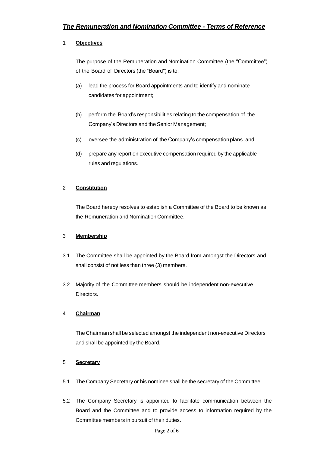# 1 **Objectives**

The purpose of the Remuneration and Nomination Committee (the "Committee") of the Board of Directors (the "Board") is to:

- (a) lead the process for Board appointments and to identify and nominate candidates for appointment;
- (b) perform the Board's responsibilities relating to the compensation of the Company's Directors and the Senior Management;
- (c) oversee the administration of the Company's compensation plans;and
- (d) prepare any report on executive compensation required by the applicable rules and regulations.

# 2 **Constitution**

The Board hereby resolves to establish a Committee of the Board to be known as the Remuneration and Nomination Committee.

# 3 **Membership**

- 3.1 The Committee shall be appointed by the Board from amongst the Directors and shall consist of not less than three (3) members.
- 3.2 Majority of the Committee members should be independent non-executive Directors.

# 4 **Chairman**

The Chairman shall be selected amongst the independent non-executive Directors and shall be appointed by the Board.

# 5 **Secretary**

- 5.1 The Company Secretary or his nominee shall be the secretary of the Committee.
- 5.2 The Company Secretary is appointed to facilitate communication between the Board and the Committee and to provide access to information required by the Committee members in pursuit of their duties.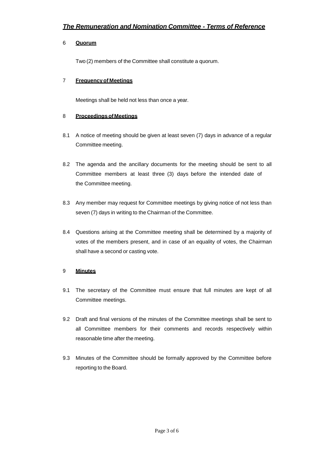#### 6 **Quorum**

Two (2) members of the Committee shall constitute a quorum.

#### 7 **Frequencyof Meetings**

Meetings shall be held not less than once a year.

#### 8 **Proceedings ofMeetings**

- 8.1 A notice of meeting should be given at least seven (7) days in advance of a regular Committee meeting.
- 8.2 The agenda and the ancillary documents for the meeting should be sent to all Committee members at least three (3) days before the intended date of the Committee meeting.
- 8.3 Any member may request for Committee meetings by giving notice of not less than seven (7) days in writing to the Chairman of the Committee.
- 8.4 Questions arising at the Committee meeting shall be determined by a majority of votes of the members present, and in case of an equality of votes, the Chairman shall have a second or casting vote.

#### 9 **Minutes**

- 9.1 The secretary of the Committee must ensure that full minutes are kept of all Committee meetings.
- 9.2 Draft and final versions of the minutes of the Committee meetings shall be sent to all Committee members for their comments and records respectively within reasonable time after the meeting.
- 9.3 Minutes of the Committee should be formally approved by the Committee before reporting to the Board.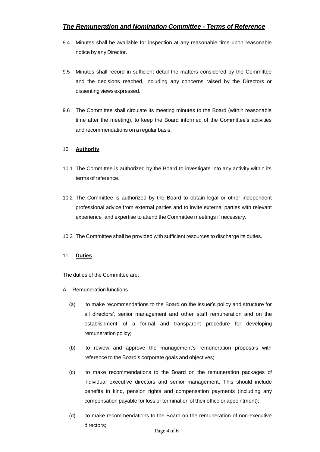# *The Remuneration and Nomination Committee - Terms of Reference*

- 9.4 Minutes shall be available for inspection at any reasonable time upon reasonable notice by any Director.
- 9.5 Minutes shall record in sufficient detail the matters considered by the Committee and the decisions reached, including any concerns raised by the Directors or dissenting views expressed.
- 9.6 The Committee shall circulate its meeting minutes to the Board (within reasonable time after the meeting), to keep the Board informed of the Committee's activities and recommendations on a regular basis.

#### 10 **Authority**

- 10.1 The Committee is authorized by the Board to investigate into any activity within its terms of reference.
- 10.2 The Committee is authorized by the Board to obtain legal or other independent professional advice from external parties and to invite external parties with relevant experience and expertise to attend the Committee meetings if necessary.
- 10.3 The Committee shall be provided with sufficient resources to discharge its duties.

#### 11 **Duties**

The duties of the Committee are:

- A. Remuneration functions
	- (a) to make recommendations to the Board on the issuer's policy and structure for all directors', senior management and other staff remuneration and on the establishment of a formal and transparent procedure for developing remuneration policy;
	- (b) to review and approve the management's remuneration proposals with reference to the Board's corporate goals and objectives;
	- (c) to make recommendations to the Board on the remuneration packages of individual executive directors and senior management. This should include benefits in kind, pension rights and compensation payments (including any compensation payable for loss or termination of their office or appointment);
	- (d) to make recommendations to the Board on the remuneration of non-executive directors;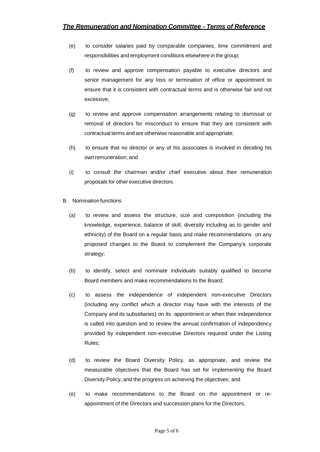- (e) to consider salaries paid by comparable companies, time commitment and responsibilities and employment conditions elsewhere in the group;
- (f) to review and approve compensation payable to executive directors and senior management for any loss or termination of office or appointment to ensure that it is consistent with contractual terms and is otherwise fair and not excessive;
- (g) to review and approve compensation arrangements relating to dismissal or removal of directors for misconduct to ensure that they are consistent with contractual terms and are otherwise reasonable and appropriate;
- (h) to ensure that no director or any of his associates is involved in deciding his own remuneration; and
- (i) to consult the chairman and/or chief executive about their remuneration proposals for other executive directors.
- B. Nomination functions
	- (a) to review and assess the structure, size and composition (including the knowledge, experience, balance of skill, diversity including as to gender and ethnicity) of the Board on a regular basis and make recommendations on any proposed changes to the Board to complement the Company's corporate strategy;
	- (b) to identify, select and nominate individuals suitably qualified to become Board members and make recommendations to the Board;
	- (c) to assess the independence of independent non-executive Directors (including any conflict which a director may have with the interests of the Company and its subsidiaries) on its appointment or when their independence is called into question and to review the annual confirmation of independency provided by independent non-executive Directors required under the Listing Rules;
	- (d) to review the Board Diversity Policy, as appropriate, and review the measurable objectives that the Board has set for implementing the Board Diversity Policy, and the progress on achieving the objectives; and
	- (e) to make recommendations to the Board on the appointment or reappointment of the Directors and succession plans for the Directors.